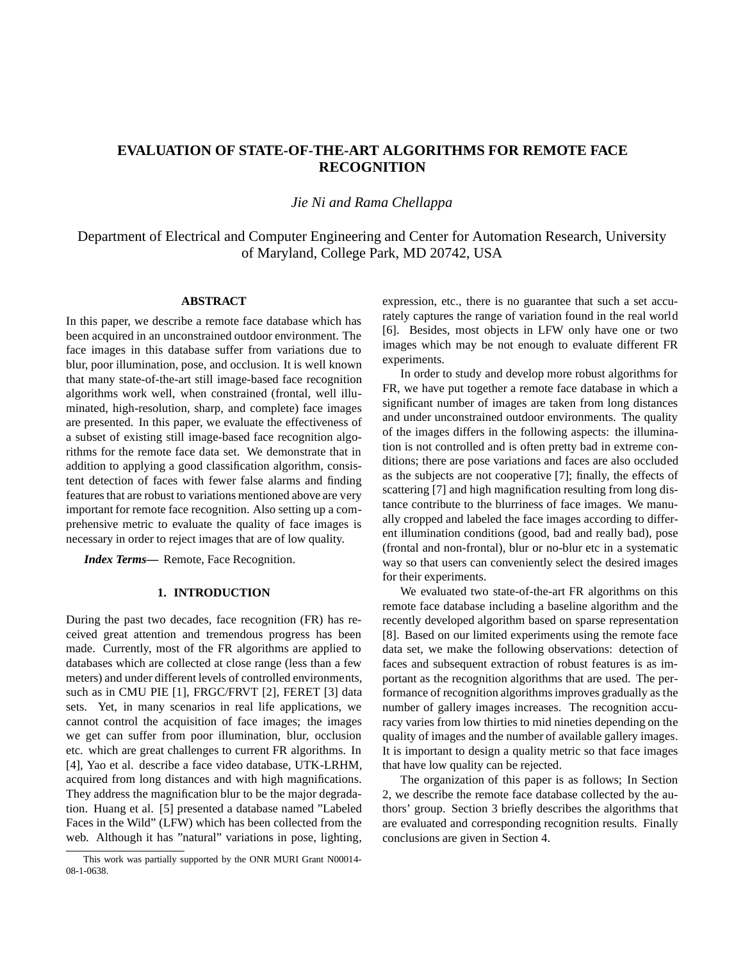# **EVALUATION OF STATE-OF-THE-ART ALGORITHMS FOR REMOTE FACE RECOGNITION**

## *Jie Ni and Rama Chellappa*

Department of Electrical and Computer Engineering and Center for Automation Research, University of Maryland, College Park, MD 20742, USA

### **ABSTRACT**

In this paper, we describe a remote face database which has been acquired in an unconstrained outdoor environment. The face images in this database suffer from variations due to blur, poor illumination, pose, and occlusion. It is well known that many state-of-the-art still image-based face recognition algorithms work well, when constrained (frontal, well illuminated, high-resolution, sharp, and complete) face images are presented. In this paper, we evaluate the effectiveness of a subset of existing still image-based face recognition algorithms for the remote face data set. We demonstrate that in addition to applying a good classification algorithm, consistent detection of faces with fewer false alarms and finding features that are robust to variations mentioned above are very important for remote face recognition. Also setting up a comprehensive metric to evaluate the quality of face images is necessary in order to reject images that are of low quality.

*Index Terms***—** Remote, Face Recognition.

### **1. INTRODUCTION**

During the past two decades, face recognition (FR) has received great attention and tremendous progress has been made. Currently, most of the FR algorithms are applied to databases which are collected at close range (less than a few meters) and under different levels of controlled environments, such as in CMU PIE [1], FRGC/FRVT [2], FERET [3] data sets. Yet, in many scenarios in real life applications, we cannot control the acquisition of face images; the images we get can suffer from poor illumination, blur, occlusion etc. which are great challenges to current FR algorithms. In [4], Yao et al. describe a face video database, UTK-LRHM, acquired from long distances and with high magnifications. They address the magnification blur to be the major degradation. Huang et al. [5] presented a database named "Labeled Faces in the Wild" (LFW) which has been collected from the web. Although it has "natural" variations in pose, lighting, expression, etc., there is no guarantee that such a set accurately captures the range of variation found in the real world [6]. Besides, most objects in LFW only have one or two images which may be not enough to evaluate different FR experiments.

In order to study and develop more robust algorithms for FR, we have put together a remote face database in which a significant number of images are taken from long distances and under unconstrained outdoor environments. The quality of the images differs in the following aspects: the illumination is not controlled and is often pretty bad in extreme conditions; there are pose variations and faces are also occluded as the subjects are not cooperative [7]; finally, the effects of scattering [7] and high magnification resulting from long distance contribute to the blurriness of face images. We manually cropped and labeled the face images according to different illumination conditions (good, bad and really bad), pose (frontal and non-frontal), blur or no-blur etc in a systematic way so that users can conveniently select the desired images for their experiments.

We evaluated two state-of-the-art FR algorithms on this remote face database including a baseline algorithm and the recently developed algorithm based on sparse representation [8]. Based on our limited experiments using the remote face data set, we make the following observations: detection of faces and subsequent extraction of robust features is as important as the recognition algorithms that are used. The performance of recognition algorithms improves gradually as the number of gallery images increases. The recognition accuracy varies from low thirties to mid nineties depending on the quality of images and the number of available gallery images. It is important to design a quality metric so that face images that have low quality can be rejected.

The organization of this paper is as follows; In Section 2, we describe the remote face database collected by the authors' group. Section 3 briefly describes the algorithms that are evaluated and corresponding recognition results. Finally conclusions are given in Section 4.

This work was partially supported by the ONR MURI Grant N00014- 08-1-0638.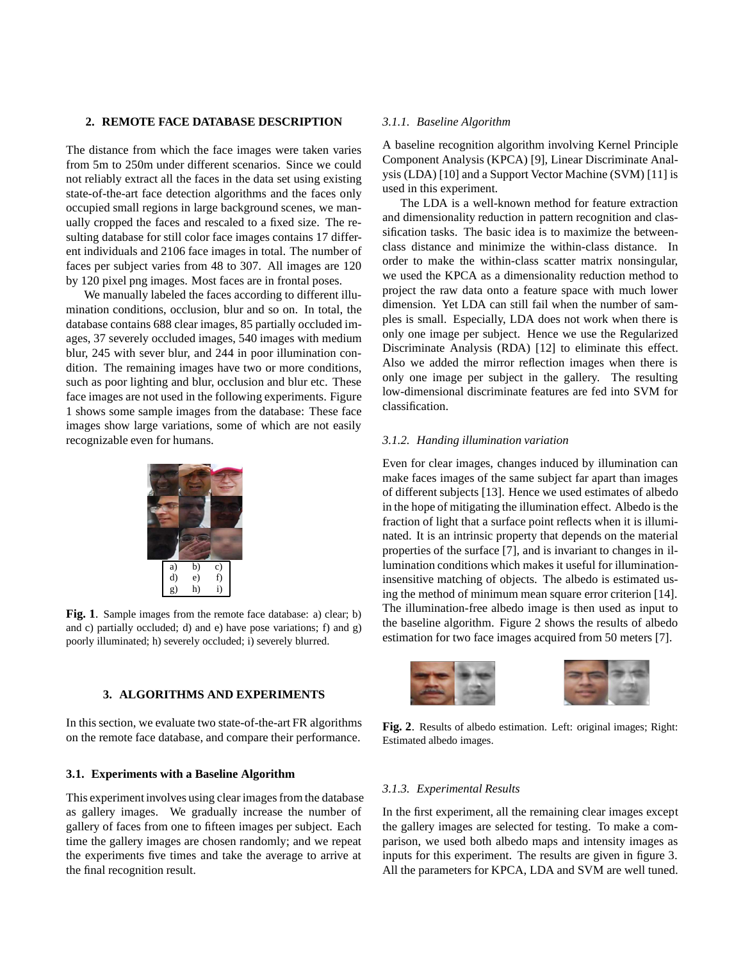### **2. REMOTE FACE DATABASE DESCRIPTION**

The distance from which the face images were taken varies from 5m to 250m under different scenarios. Since we could not reliably extract all the faces in the data set using existing state-of-the-art face detection algorithms and the faces only occupied small regions in large background scenes, we manually cropped the faces and rescaled to a fixed size. The resulting database for still color face images contains 17 different individuals and 2106 face images in total. The number of faces per subject varies from 48 to 307. All images are 120 by 120 pixel png images. Most faces are in frontal poses.

We manually labeled the faces according to different illumination conditions, occlusion, blur and so on. In total, the database contains 688 clear images, 85 partially occluded images, 37 severely occluded images, 540 images with medium blur, 245 with sever blur, and 244 in poor illumination condition. The remaining images have two or more conditions, such as poor lighting and blur, occlusion and blur etc. These face images are not used in the following experiments. Figure 1 shows some sample images from the database: These face images show large variations, some of which are not easily recognizable even for humans.



**Fig. 1**. Sample images from the remote face database: a) clear; b) and c) partially occluded; d) and e) have pose variations; f) and g) poorly illuminated; h) severely occluded; i) severely blurred.

# **3. ALGORITHMS AND EXPERIMENTS**

In this section, we evaluate two state-of-the-art FR algorithms on the remote face database, and compare their performance.

### **3.1. Experiments with a Baseline Algorithm**

This experiment involves using clear images from the database as gallery images. We gradually increase the number of gallery of faces from one to fifteen images per subject. Each time the gallery images are chosen randomly; and we repeat the experiments five times and take the average to arrive at the final recognition result.

### *3.1.1. Baseline Algorithm*

A baseline recognition algorithm involving Kernel Principle Component Analysis (KPCA) [9], Linear Discriminate Analysis (LDA) [10] and a Support Vector Machine (SVM) [11] is used in this experiment.

The LDA is a well-known method for feature extraction and dimensionality reduction in pattern recognition and classification tasks. The basic idea is to maximize the betweenclass distance and minimize the within-class distance. In order to make the within-class scatter matrix nonsingular, we used the KPCA as a dimensionality reduction method to project the raw data onto a feature space with much lower dimension. Yet LDA can still fail when the number of samples is small. Especially, LDA does not work when there is only one image per subject. Hence we use the Regularized Discriminate Analysis (RDA) [12] to eliminate this effect. Also we added the mirror reflection images when there is only one image per subject in the gallery. The resulting low-dimensional discriminate features are fed into SVM for classification.

### *3.1.2. Handing illumination variation*

Even for clear images, changes induced by illumination can make faces images of the same subject far apart than images of different subjects [13]. Hence we used estimates of albedo in the hope of mitigating the illumination effect. Albedo is the fraction of light that a surface point reflects when it is illuminated. It is an intrinsic property that depends on the material properties of the surface [7], and is invariant to changes in illumination conditions which makes it useful for illuminationinsensitive matching of objects. The albedo is estimated using the method of minimum mean square error criterion [14]. The illumination-free albedo image is then used as input to the baseline algorithm. Figure 2 shows the results of albedo estimation for two face images acquired from 50 meters [7].



**Fig. 2**. Results of albedo estimation. Left: original images; Right: Estimated albedo images.

### *3.1.3. Experimental Results*

In the first experiment, all the remaining clear images except the gallery images are selected for testing. To make a comparison, we used both albedo maps and intensity images as inputs for this experiment. The results are given in figure 3. All the parameters for KPCA, LDA and SVM are well tuned.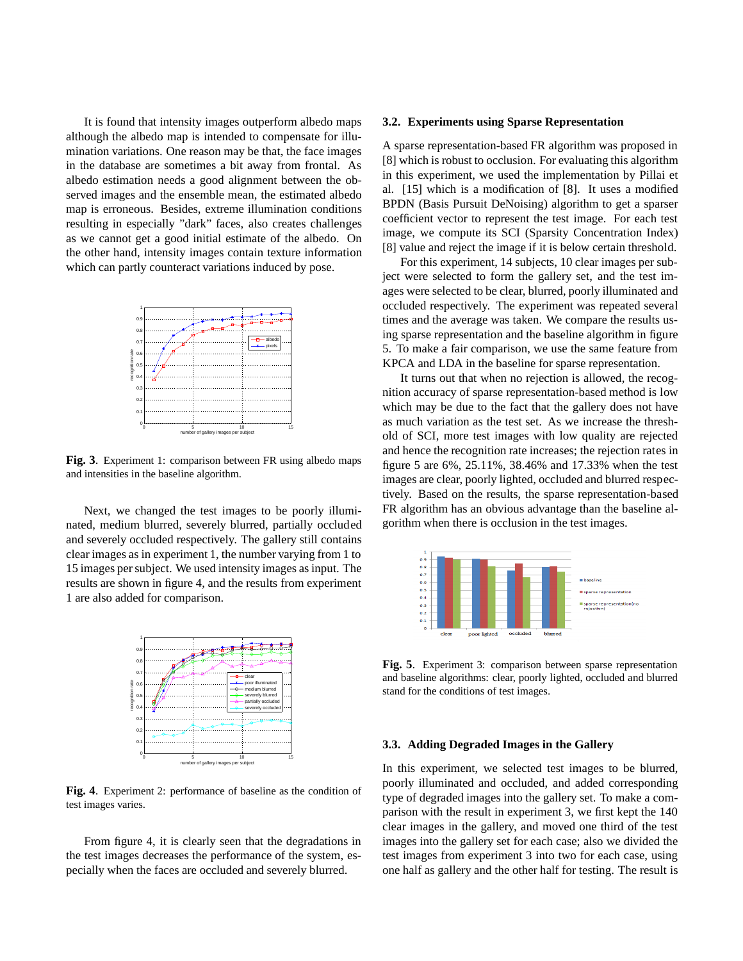It is found that intensity images outperform albedo maps although the albedo map is intended to compensate for illumination variations. One reason may be that, the face images in the database are sometimes a bit away from frontal. As albedo estimation needs a good alignment between the observed images and the ensemble mean, the estimated albedo map is erroneous. Besides, extreme illumination conditions resulting in especially "dark" faces, also creates challenges as we cannot get a good initial estimate of the albedo. On the other hand, intensity images contain texture information which can partly counteract variations induced by pose.



**Fig. 3**. Experiment 1: comparison between FR using albedo maps and intensities in the baseline algorithm.

Next, we changed the test images to be poorly illuminated, medium blurred, severely blurred, partially occluded and severely occluded respectively. The gallery still contains clear images as in experiment 1, the number varying from 1 to 15 images per subject. We used intensity images as input. The results are shown in figure 4, and the results from experiment 1 are also added for comparison.



**Fig. 4**. Experiment 2: performance of baseline as the condition of test images varies.

From figure 4, it is clearly seen that the degradations in the test images decreases the performance of the system, especially when the faces are occluded and severely blurred.

#### **3.2. Experiments using Sparse Representation**

A sparse representation-based FR algorithm was proposed in [8] which is robust to occlusion. For evaluating this algorithm in this experiment, we used the implementation by Pillai et al. [15] which is a modification of [8]. It uses a modified BPDN (Basis Pursuit DeNoising) algorithm to get a sparser coefficient vector to represent the test image. For each test image, we compute its SCI (Sparsity Concentration Index) [8] value and reject the image if it is below certain threshold.

For this experiment, 14 subjects, 10 clear images per subject were selected to form the gallery set, and the test images were selected to be clear, blurred, poorly illuminated and occluded respectively. The experiment was repeated several times and the average was taken. We compare the results using sparse representation and the baseline algorithm in figure 5. To make a fair comparison, we use the same feature from KPCA and LDA in the baseline for sparse representation.

It turns out that when no rejection is allowed, the recognition accuracy of sparse representation-based method is low which may be due to the fact that the gallery does not have as much variation as the test set. As we increase the threshold of SCI, more test images with low quality are rejected and hence the recognition rate increases; the rejection rates in figure 5 are 6%, 25.11%, 38.46% and 17.33% when the test images are clear, poorly lighted, occluded and blurred respectively. Based on the results, the sparse representation-based FR algorithm has an obvious advantage than the baseline algorithm when there is occlusion in the test images.



**Fig. 5**. Experiment 3: comparison between sparse representation and baseline algorithms: clear, poorly lighted, occluded and blurred stand for the conditions of test images.

#### **3.3. Adding Degraded Images in the Gallery**

In this experiment, we selected test images to be blurred, poorly illuminated and occluded, and added corresponding type of degraded images into the gallery set. To make a comparison with the result in experiment 3, we first kept the 140 clear images in the gallery, and moved one third of the test images into the gallery set for each case; also we divided the test images from experiment 3 into two for each case, using one half as gallery and the other half for testing. The result is